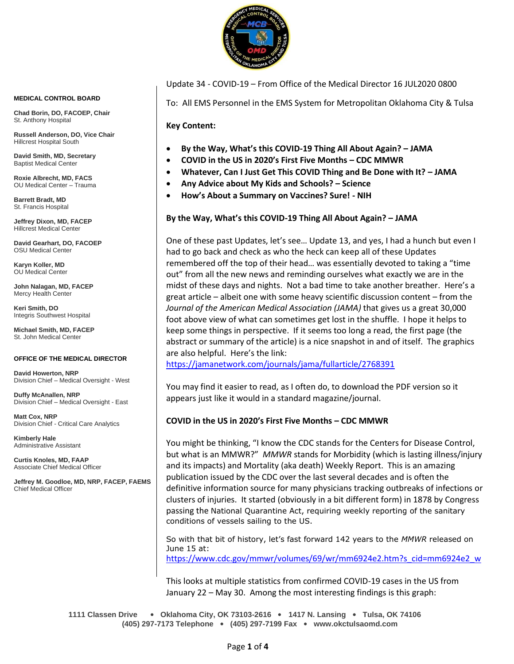

**MEDICAL CONTROL BOARD**

**Chad Borin, DO, FACOEP, Chair**  St. Anthony Hospital

**Russell Anderson, DO, Vice Chair** Hillcrest Hospital South

**David Smith, MD, Secretary** Baptist Medical Center

**Roxie Albrecht, MD, FACS** OU Medical Center – Trauma

**Barrett Bradt, MD** St. Francis Hospital

**Jeffrey Dixon, MD, FACEP** Hillcrest Medical Center

**David Gearhart, DO, FACOEP** OSU Medical Center

**Karyn Koller, MD** OU Medical Center

**John Nalagan, MD, FACEP** Mercy Health Center

**Keri Smith, DO** Integris Southwest Hospital

**Michael Smith, MD, FACEP** St. John Medical Center

#### **OFFICE OF THE MEDICAL DIRECTOR**

**David Howerton, NRP** Division Chief – Medical Oversight - West

**Duffy McAnallen, NRP** Division Chief – Medical Oversight - East

**Matt Cox, NRP** Division Chief - Critical Care Analytics

**Kimberly Hale** Administrative Assistant

**Curtis Knoles, MD, FAAP** Associate Chief Medical Officer

**Jeffrey M. Goodloe, MD, NRP, FACEP, FAEMS** Chief Medical Officer

#### Update 34 - COVID-19 – From Office of the Medical Director 16 JUL2020 0800

To: All EMS Personnel in the EMS System for Metropolitan Oklahoma City & Tulsa

**Key Content:**

- **By the Way, What's this COVID-19 Thing All About Again? – JAMA**
- **COVID in the US in 2020's First Five Months – CDC MMWR**
- **Whatever, Can I Just Get This COVID Thing and Be Done with It? – JAMA**
- **Any Advice about My Kids and Schools? – Science**
- **How's About a Summary on Vaccines? Sure! - NIH**

**By the Way, What's this COVID-19 Thing All About Again? – JAMA**

One of these past Updates, let's see… Update 13, and yes, I had a hunch but even I had to go back and check as who the heck can keep all of these Updates remembered off the top of their head… was essentially devoted to taking a "time out" from all the new news and reminding ourselves what exactly we are in the midst of these days and nights. Not a bad time to take another breather. Here's a great article – albeit one with some heavy scientific discussion content – from the *Journal of the American Medical Association (JAMA)* that gives us a great 30,000 foot above view of what can sometimes get lost in the shuffle. I hope it helps to keep some things in perspective. If it seems too long a read, the first page (the abstract or summary of the article) is a nice snapshot in and of itself. The graphics are also helpful. Here's the link:

<https://jamanetwork.com/journals/jama/fullarticle/2768391>

You may find it easier to read, as I often do, to download the PDF version so it appears just like it would in a standard magazine/journal.

## **COVID in the US in 2020's First Five Months – CDC MMWR**

You might be thinking, "I know the CDC stands for the Centers for Disease Control, but what is an MMWR?" *MMWR* stands for Morbidity (which is lasting illness/injury and its impacts) and Mortality (aka death) Weekly Report. This is an amazing publication issued by the CDC over the last several decades and is often the definitive information source for many physicians tracking outbreaks of infections or clusters of injuries. It started (obviously in a bit different form) in 1878 by Congress passing the National Quarantine Act, requiring weekly reporting of the sanitary conditions of vessels sailing to the US.

So with that bit of history, let's fast forward 142 years to the *MMWR* released on June 15 at: [https://www.cdc.gov/mmwr/volumes/69/wr/mm6924e2.htm?s\\_cid=mm6924e2\\_w](https://www.cdc.gov/mmwr/volumes/69/wr/mm6924e2.htm?s_cid=mm6924e2_w)

This looks at multiple statistics from confirmed COVID-19 cases in the US from January 22 – May 30. Among the most interesting findings is this graph:

**1111 Classen Drive** • **Oklahoma City, OK 73103-2616** • **1417 N. Lansing** • **Tulsa, OK 74106 (405) 297-7173 Telephone** • **(405) 297-7199 Fax** • **www.okctulsaomd.com**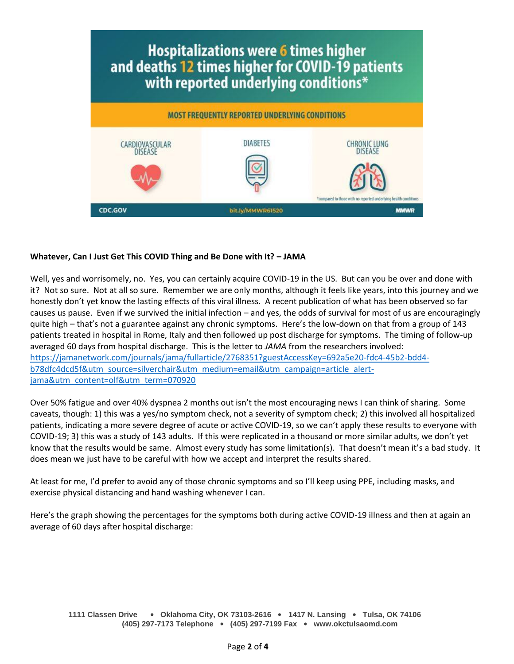

## **Whatever, Can I Just Get This COVID Thing and Be Done with It? – JAMA**

Well, yes and worrisomely, no. Yes, you can certainly acquire COVID-19 in the US. But can you be over and done with it? Not so sure. Not at all so sure. Remember we are only months, although it feels like years, into this journey and we honestly don't yet know the lasting effects of this viral illness. A recent publication of what has been observed so far causes us pause. Even if we survived the initial infection – and yes, the odds of survival for most of us are encouragingly quite high – that's not a guarantee against any chronic symptoms. Here's the low-down on that from a group of 143 patients treated in hospital in Rome, Italy and then followed up post discharge for symptoms. The timing of follow-up averaged 60 days from hospital discharge. This is the letter to *JAMA* from the researchers involved: [https://jamanetwork.com/journals/jama/fullarticle/2768351?guestAccessKey=692a5e20-fdc4-45b2-bdd4](https://jamanetwork.com/journals/jama/fullarticle/2768351?guestAccessKey=692a5e20-fdc4-45b2-bdd4-b78dfc4dcd5f&utm_source=silverchair&utm_medium=email&utm_campaign=article_alert-jama&utm_content=olf&utm_term=070920) [b78dfc4dcd5f&utm\\_source=silverchair&utm\\_medium=email&utm\\_campaign=article\\_alert](https://jamanetwork.com/journals/jama/fullarticle/2768351?guestAccessKey=692a5e20-fdc4-45b2-bdd4-b78dfc4dcd5f&utm_source=silverchair&utm_medium=email&utm_campaign=article_alert-jama&utm_content=olf&utm_term=070920)[jama&utm\\_content=olf&utm\\_term=070920](https://jamanetwork.com/journals/jama/fullarticle/2768351?guestAccessKey=692a5e20-fdc4-45b2-bdd4-b78dfc4dcd5f&utm_source=silverchair&utm_medium=email&utm_campaign=article_alert-jama&utm_content=olf&utm_term=070920)

Over 50% fatigue and over 40% dyspnea 2 months out isn't the most encouraging news I can think of sharing. Some caveats, though: 1) this was a yes/no symptom check, not a severity of symptom check; 2) this involved all hospitalized patients, indicating a more severe degree of acute or active COVID-19, so we can't apply these results to everyone with COVID-19; 3) this was a study of 143 adults. If this were replicated in a thousand or more similar adults, we don't yet know that the results would be same. Almost every study has some limitation(s). That doesn't mean it's a bad study. It does mean we just have to be careful with how we accept and interpret the results shared.

At least for me, I'd prefer to avoid any of those chronic symptoms and so I'll keep using PPE, including masks, and exercise physical distancing and hand washing whenever I can.

Here's the graph showing the percentages for the symptoms both during active COVID-19 illness and then at again an average of 60 days after hospital discharge:

**1111 Classen Drive** • **Oklahoma City, OK 73103-2616** • **1417 N. Lansing** • **Tulsa, OK 74106 (405) 297-7173 Telephone** • **(405) 297-7199 Fax** • **www.okctulsaomd.com**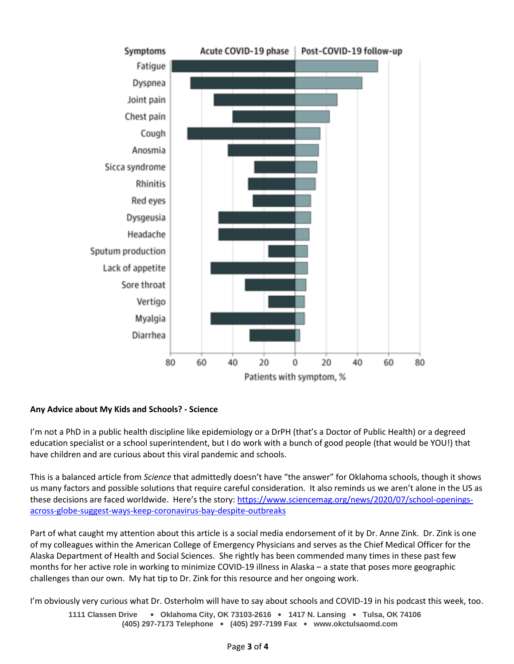

# **Any Advice about My Kids and Schools? - Science**

I'm not a PhD in a public health discipline like epidemiology or a DrPH (that's a Doctor of Public Health) or a degreed education specialist or a school superintendent, but I do work with a bunch of good people (that would be YOU!) that have children and are curious about this viral pandemic and schools.

This is a balanced article from *Science* that admittedly doesn't have "the answer" for Oklahoma schools, though it shows us many factors and possible solutions that require careful consideration. It also reminds us we aren't alone in the US as these decisions are faced worldwide. Here's the story: [https://www.sciencemag.org/news/2020/07/school-openings](https://www.sciencemag.org/news/2020/07/school-openings-across-globe-suggest-ways-keep-coronavirus-bay-despite-outbreaks)[across-globe-suggest-ways-keep-coronavirus-bay-despite-outbreaks](https://www.sciencemag.org/news/2020/07/school-openings-across-globe-suggest-ways-keep-coronavirus-bay-despite-outbreaks)

Part of what caught my attention about this article is a social media endorsement of it by Dr. Anne Zink. Dr. Zink is one of my colleagues within the American College of Emergency Physicians and serves as the Chief Medical Officer for the Alaska Department of Health and Social Sciences. She rightly has been commended many times in these past few months for her active role in working to minimize COVID-19 illness in Alaska – a state that poses more geographic challenges than our own. My hat tip to Dr. Zink for this resource and her ongoing work.

I'm obviously very curious what Dr. Osterholm will have to say about schools and COVID-19 in his podcast this week, too.

**1111 Classen Drive** • **Oklahoma City, OK 73103-2616** • **1417 N. Lansing** • **Tulsa, OK 74106 (405) 297-7173 Telephone** • **(405) 297-7199 Fax** • **www.okctulsaomd.com**